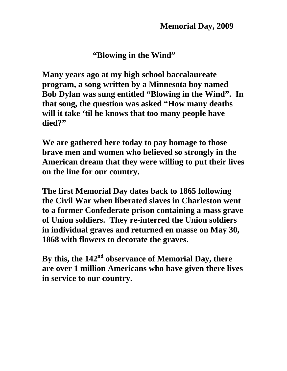**"Blowing in the Wind"** 

**Many years ago at my high school baccalaureate program, a song written by a Minnesota boy named Bob Dylan was sung entitled "Blowing in the Wind". In that song, the question was asked "How many deaths will it take 'til he knows that too many people have died?"** 

**We are gathered here today to pay homage to those brave men and women who believed so strongly in the American dream that they were willing to put their lives on the line for our country.** 

**The first Memorial Day dates back to 1865 following the Civil War when liberated slaves in Charleston went to a former Confederate prison containing a mass grave of Union soldiers. They re-interred the Union soldiers in individual graves and returned en masse on May 30, 1868 with flowers to decorate the graves.** 

**By this, the 142nd observance of Memorial Day, there are over 1 million Americans who have given there lives in service to our country.**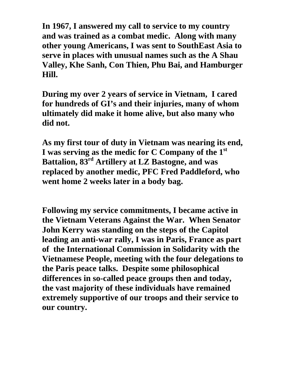**In 1967, I answered my call to service to my country and was trained as a combat medic. Along with many other young Americans, I was sent to SouthEast Asia to serve in places with unusual names such as the A Shau Valley, Khe Sanh, Con Thien, Phu Bai, and Hamburger Hill.** 

**During my over 2 years of service in Vietnam, I cared for hundreds of GI's and their injuries, many of whom ultimately did make it home alive, but also many who did not.** 

**As my first tour of duty in Vietnam was nearing its end, I was serving as the medic for C Company of the 1st Battalion, 83rd Artillery at LZ Bastogne, and was replaced by another medic, PFC Fred Paddleford, who went home 2 weeks later in a body bag.** 

**Following my service commitments, I became active in the Vietnam Veterans Against the War. When Senator John Kerry was standing on the steps of the Capitol leading an anti-war rally, I was in Paris, France as part of the International Commission in Solidarity with the Vietnamese People, meeting with the four delegations to the Paris peace talks. Despite some philosophical differences in so-called peace groups then and today, the vast majority of these individuals have remained extremely supportive of our troops and their service to our country.**